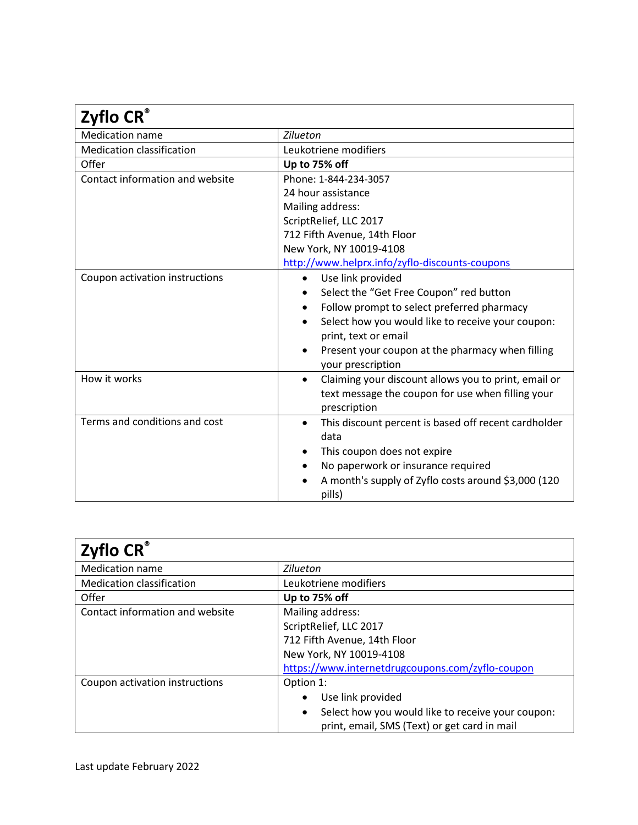| Zyflo CR®                        |                                                                   |
|----------------------------------|-------------------------------------------------------------------|
| <b>Medication name</b>           | Zilueton                                                          |
| <b>Medication classification</b> | Leukotriene modifiers                                             |
| Offer                            | Up to 75% off                                                     |
| Contact information and website  | Phone: 1-844-234-3057                                             |
|                                  | 24 hour assistance                                                |
|                                  | Mailing address:                                                  |
|                                  | ScriptRelief, LLC 2017                                            |
|                                  | 712 Fifth Avenue, 14th Floor                                      |
|                                  | New York, NY 10019-4108                                           |
|                                  | http://www.helprx.info/zyflo-discounts-coupons                    |
| Coupon activation instructions   | Use link provided<br>$\bullet$                                    |
|                                  | Select the "Get Free Coupon" red button                           |
|                                  | Follow prompt to select preferred pharmacy<br>$\bullet$           |
|                                  | Select how you would like to receive your coupon:                 |
|                                  | print, text or email                                              |
|                                  | Present your coupon at the pharmacy when filling<br>$\bullet$     |
|                                  | your prescription                                                 |
| How it works                     | Claiming your discount allows you to print, email or<br>$\bullet$ |
|                                  | text message the coupon for use when filling your                 |
|                                  | prescription                                                      |
| Terms and conditions and cost    | This discount percent is based off recent cardholder<br>$\bullet$ |
|                                  | data                                                              |
|                                  | This coupon does not expire<br>٠                                  |
|                                  | No paperwork or insurance required                                |
|                                  | A month's supply of Zyflo costs around \$3,000 (120               |
|                                  | pills)                                                            |

| Zyflo CR®                        |                                                                |
|----------------------------------|----------------------------------------------------------------|
| <b>Medication name</b>           | Zilueton                                                       |
| <b>Medication classification</b> | Leukotriene modifiers                                          |
| Offer                            | Up to 75% off                                                  |
| Contact information and website  | Mailing address:                                               |
|                                  | ScriptRelief, LLC 2017                                         |
|                                  | 712 Fifth Avenue, 14th Floor                                   |
|                                  | New York, NY 10019-4108                                        |
|                                  | https://www.internetdrugcoupons.com/zyflo-coupon               |
| Coupon activation instructions   | Option 1:                                                      |
|                                  | Use link provided                                              |
|                                  | Select how you would like to receive your coupon:<br>$\bullet$ |
|                                  | print, email, SMS (Text) or get card in mail                   |